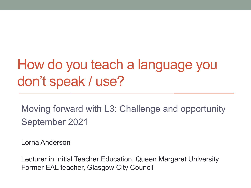# How do you teach a language you don't speak / use?

Moving forward with L3: Challenge and opportunity September 2021

Lorna Anderson

Lecturer in Initial Teacher Education, Queen Margaret University Former EAL teacher, Glasgow City Council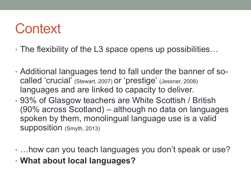## **Context**

- The flexibility of the L3 space opens up possibilities...
- Additional languages tend to fall under the banner of socalled 'crucial' (Stewart, 2007) or 'prestige' (Jessner, 2008) languages and are linked to capacity to deliver.
- 93% of Glasgow teachers are White Scottish / British (90% across Scotland) – although no data on languages spoken by them, monolingual language use is a valid supposition (Smyth, 2013)
- …how can you teach languages you don't speak or use?
- **What about local languages?**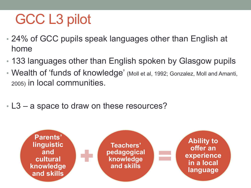# GCC L3 pilot

- 24% of GCC pupils speak languages other than English at home
- 133 languages other than English spoken by Glasgow pupils
- Wealth of 'funds of knowledge' (Moll et al, 1992; Gonzalez, Moll and Amanti, 2005) in local communities.
- L3 a space to draw on these resources?

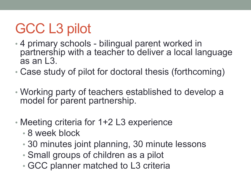# GCC L3 pilot

- 4 primary schools bilingual parent worked in partnership with a teacher to deliver a local language  $as$  an  $\overline{13}$ .
- Case study of pilot for doctoral thesis (forthcoming)
- Working party of teachers established to develop a model for parent partnership.
- Meeting criteria for 1+2 L3 experience
	- 8 week block
	- 30 minutes joint planning, 30 minute lessons
	- Small groups of children as a pilot
	- GCC planner matched to L3 criteria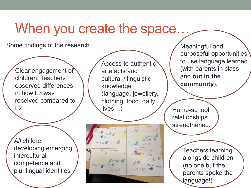### When you create the space.

Some findings of the research…

Clear engagement of children. Teachers observed differences in how L3 was received compared to L2.

*All* children developing emerging intercultural competence and plurilingual identities

Access to authentic artefacts and cultural / linguistic knowledge (language, jewellery, clothing, food, daily lives…)

English colors verden green purple 1 blue oint  $W_1$ ola+ $\blacksquare$  Yosa Spanish Colour Slovalcia Colors  $q$ / $\zeta$ volta ja Navanjal Cerveral Orangoval verde  $zeleva$  $azul$ fialova Modral morad VOSOL  $Vu20Vq$ 

Meaningful and purposeful opportunities to use language learned (with parents in class and **out in the community**).

Home-school relationships strengthened.

> Teachers learning alongside children (no one but the parents spoke the language!)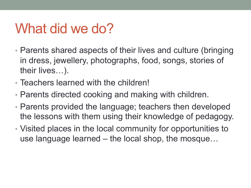## What did we do?

- Parents shared aspects of their lives and culture (bringing in dress, jewellery, photographs, food, songs, stories of their lives…).
- Teachers learned with the children!
- Parents directed cooking and making with children.
- Parents provided the language; teachers then developed the lessons with them using their knowledge of pedagogy.
- Visited places in the local community for opportunities to use language learned – the local shop, the mosque…